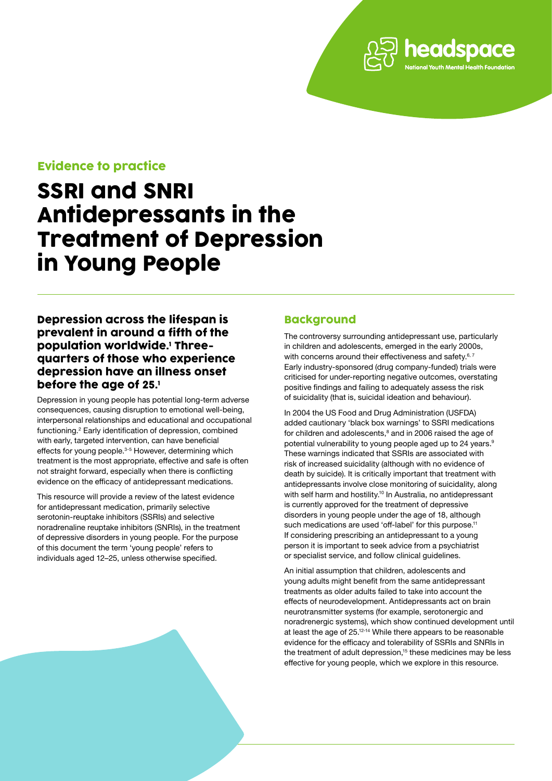# Evidence to practice

# SSRI and SNRI Antidepressants in the Treatment of Depression in Young People

# Depression across the lifespan is prevalent in around a fifth of the population worldwide.1 Threequarters of those who experience depression have an illness onset before the age of 25.1

Depression in young people has potential long-term adverse consequences, causing disruption to emotional well-being, interpersonal relationships and educational and occupational functioning.<sup>2</sup> Early identification of depression, combined with early, targeted intervention, can have beneficial effects for young people.<sup>3-5</sup> However, determining which treatment is the most appropriate, effective and safe is often not straight forward, especially when there is conflicting evidence on the efficacy of antidepressant medications.

This resource will provide a review of the latest evidence for antidepressant medication, primarily selective serotonin-reuptake inhibitors (SSRIs) and selective noradrenaline reuptake inhibitors (SNRIs), in the treatment of depressive disorders in young people. For the purpose of this document the term 'young people' refers to individuals aged 12–25, unless otherwise specified.

# **Backaround**

The controversy surrounding antidepressant use, particularly in children and adolescents, emerged in the early 2000s, with concerns around their effectiveness and safety.<sup>6, 7</sup> Early industry-sponsored (drug company-funded) trials were criticised for under-reporting negative outcomes, overstating positive findings and failing to adequately assess the risk of suicidality (that is, suicidal ideation and behaviour).

headspace

In 2004 the US Food and Drug Administration (USFDA) added cautionary 'black box warnings' to SSRI medications for children and adolescents, $^{\rm 8}$  and in 2006 raised the age of potential vulnerability to young people aged up to 24 years.<sup>9</sup> These warnings indicated that SSRIs are associated with risk of increased suicidality (although with no evidence of death by suicide). It is critically important that treatment with antidepressants involve close monitoring of suicidality, along with self harm and hostility.<sup>10</sup> In Australia, no antidepressant is currently approved for the treatment of depressive disorders in young people under the age of 18, although such medications are used 'off-label' for this purpose.<sup>11</sup> If considering prescribing an antidepressant to a young person it is important to seek advice from a psychiatrist or specialist service, and follow clinical guidelines.

An initial assumption that children, adolescents and young adults might benefit from the same antidepressant treatments as older adults failed to take into account the effects of neurodevelopment. Antidepressants act on brain neurotransmitter systems (for example, serotonergic and noradrenergic systems), which show continued development until at least the age of 25.12-14 While there appears to be reasonable evidence for the efficacy and tolerability of SSRIs and SNRIs in the treatment of adult depression,<sup>15</sup> these medicines may be less effective for young people, which we explore in this resource.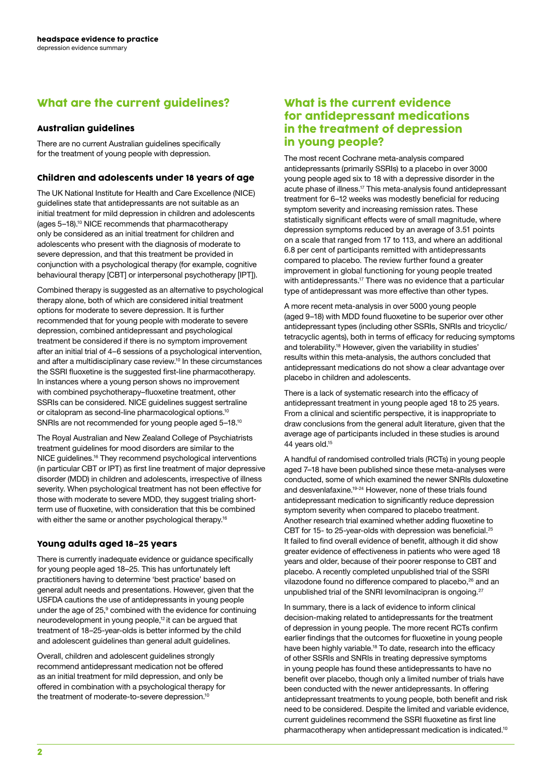# What are the current guidelines?

### Australian guidelines

There are no current Australian guidelines specifically for the treatment of young people with depression.

### Children and adolescents under 18 years of age

The UK National Institute for Health and Care Excellence (NICE) guidelines state that antidepressants are not suitable as an initial treatment for mild depression in children and adolescents (ages 5–18).<sup>10</sup> NICE recommends that pharmacotherapy only be considered as an initial treatment for children and adolescents who present with the diagnosis of moderate to severe depression, and that this treatment be provided in conjunction with a psychological therapy (for example, cognitive behavioural therapy [CBT] or interpersonal psychotherapy [IPT]).

Combined therapy is suggested as an alternative to psychological therapy alone, both of which are considered initial treatment options for moderate to severe depression. It is further recommended that for young people with moderate to severe depression, combined antidepressant and psychological treatment be considered if there is no symptom improvement after an initial trial of 4–6 sessions of a psychological intervention, and after a multidisciplinary case review.<sup>10</sup> In these circumstances the SSRI fluoxetine is the suggested first-line pharmacotherapy. In instances where a young person shows no improvement with combined psychotherapy–fluoxetine treatment, other SSRIs can be considered. NICE guidelines suggest sertraline or citalopram as second-line pharmacological options.<sup>10</sup> SNRIs are not recommended for young people aged 5–18.<sup>10</sup>

The Royal Australian and New Zealand College of Psychiatrists treatment guidelines for mood disorders are similar to the NICE guidelines.<sup>16</sup> They recommend psychological interventions (in particular CBT or IPT) as first line treatment of major depressive disorder (MDD) in children and adolescents, irrespective of illness severity. When psychological treatment has not been effective for those with moderate to severe MDD, they suggest trialing shortterm use of fluoxetine, with consideration that this be combined with either the same or another psychological therapy.<sup>16</sup>

### Young adults aged 18–25 years

There is currently inadequate evidence or guidance specifically for young people aged 18–25. This has unfortunately left practitioners having to determine 'best practice' based on general adult needs and presentations. However, given that the USFDA cautions the use of antidepressants in young people under the age of 25,<sup>9</sup> combined with the evidence for continuing neurodevelopment in young people,<sup>12</sup> it can be argued that treatment of 18–25-year-olds is better informed by the child and adolescent guidelines than general adult guidelines.

Overall, children and adolescent guidelines strongly recommend antidepressant medication not be offered as an initial treatment for mild depression, and only be offered in combination with a psychological therapy for the treatment of moderate-to-severe depression.<sup>10</sup>

### What is the current evidence for antidepressant medications in the treatment of depression in young people?

The most recent Cochrane meta-analysis compared antidepressants (primarily SSRIs) to a placebo in over 3000 young people aged six to 18 with a depressive disorder in the acute phase of illness.<sup>17</sup> This meta-analysis found antidepressant treatment for 6–12 weeks was modestly beneficial for reducing symptom severity and increasing remission rates. These statistically significant effects were of small magnitude, where depression symptoms reduced by an average of 3.51 points on a scale that ranged from 17 to 113, and where an additional 6.8 per cent of participants remitted with antidepressants compared to placebo. The review further found a greater improvement in global functioning for young people treated with antidepressants.<sup>17</sup> There was no evidence that a particular type of antidepressant was more effective than other types.

A more recent meta-analysis in over 5000 young people (aged 9–18) with MDD found fluoxetine to be superior over other antidepressant types (including other SSRIs, SNRIs and tricyclic/ tetracyclic agents), both in terms of efficacy for reducing symptoms and tolerability.<sup>18</sup> However, given the variability in studies' results within this meta-analysis, the authors concluded that antidepressant medications do not show a clear advantage over placebo in children and adolescents.

There is a lack of systematic research into the efficacy of antidepressant treatment in young people aged 18 to 25 years. From a clinical and scientific perspective, it is inappropriate to draw conclusions from the general adult literature, given that the average age of participants included in these studies is around 44 years old.15

A handful of randomised controlled trials (RCTs) in young people aged 7–18 have been published since these meta-analyses were conducted, some of which examined the newer SNRIs duloxetine and desvenlafaxine.<sup>19-24</sup> However, none of these trials found antidepressant medication to significantly reduce depression symptom severity when compared to placebo treatment. Another research trial examined whether adding fluoxetine to CBT for 15- to 25-year-olds with depression was beneficial.<sup>25</sup> It failed to find overall evidence of benefit, although it did show greater evidence of effectiveness in patients who were aged 18 years and older, because of their poorer response to CBT and placebo. A recently completed unpublished trial of the SSRI vilazodone found no difference compared to placebo,<sup>26</sup> and an unpublished trial of the SNRI levomilnacipran is ongoing.<sup>27</sup>

In summary, there is a lack of evidence to inform clinical decision-making related to antidepressants for the treatment of depression in young people. The more recent RCTs confirm earlier findings that the outcomes for fluoxetine in young people have been highly variable.<sup>18</sup> To date, research into the efficacy of other SSRIs and SNRIs in treating depressive symptoms in young people has found these antidepressants to have no benefit over placebo, though only a limited number of trials have been conducted with the newer antidepressants. In offering antidepressant treatments to young people, both benefit and risk need to be considered. Despite the limited and variable evidence, current guidelines recommend the SSRI fluoxetine as first line pharmacotherapy when antidepressant medication is indicated.10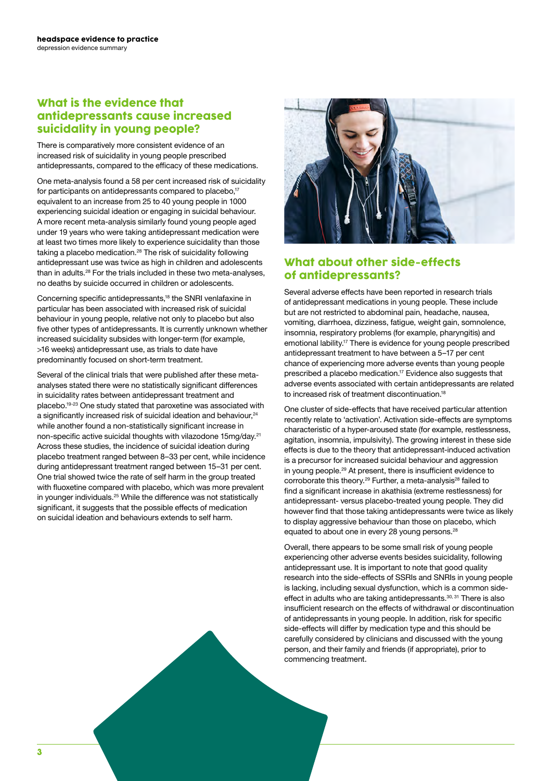# What is the evidence that antidepressants cause increased suicidality in young people?

There is comparatively more consistent evidence of an increased risk of suicidality in young people prescribed antidepressants, compared to the efficacy of these medications.

One meta-analysis found a 58 per cent increased risk of suicidality for participants on antidepressants compared to placebo,<sup>17</sup> equivalent to an increase from 25 to 40 young people in 1000 experiencing suicidal ideation or engaging in suicidal behaviour. A more recent meta-analysis similarly found young people aged under 19 years who were taking antidepressant medication were at least two times more likely to experience suicidality than those taking a placebo medication.<sup>28</sup> The risk of suicidality following antidepressant use was twice as high in children and adolescents than in adults.28 For the trials included in these two meta-analyses, no deaths by suicide occurred in children or adolescents.

Concerning specific antidepressants,<sup>18</sup> the SNRI venlafaxine in particular has been associated with increased risk of suicidal behaviour in young people, relative not only to placebo but also five other types of antidepressants. It is currently unknown whether increased suicidality subsides with longer-term (for example, >16 weeks) antidepressant use, as trials to date have predominantly focused on short-term treatment.

Several of the clinical trials that were published after these metaanalyses stated there were no statistically significant differences in suicidality rates between antidepressant treatment and placebo.19-23 One study stated that paroxetine was associated with a significantly increased risk of suicidal ideation and behaviour,<sup>24</sup> while another found a non-statistically significant increase in non-specific active suicidal thoughts with vilazodone 15mg/day.<sup>21</sup> Across these studies, the incidence of suicidal ideation during placebo treatment ranged between 8–33 per cent, while incidence during antidepressant treatment ranged between 15–31 per cent. One trial showed twice the rate of self harm in the group treated with fluoxetine compared with placebo, which was more prevalent in younger individuals.<sup>25</sup> While the difference was not statistically significant, it suggests that the possible effects of medication on suicidal ideation and behaviours extends to self harm.



# What about other side-effects of antidepressants?

Several adverse effects have been reported in research trials of antidepressant medications in young people. These include but are not restricted to abdominal pain, headache, nausea, vomiting, diarrhoea, dizziness, fatigue, weight gain, somnolence, insomnia, respiratory problems (for example, pharyngitis) and emotional lability.<sup>17</sup> There is evidence for young people prescribed antidepressant treatment to have between a 5–17 per cent chance of experiencing more adverse events than young people prescribed a placebo medication.<sup>17</sup> Evidence also suggests that adverse events associated with certain antidepressants are related to increased risk of treatment discontinuation.<sup>18</sup>

One cluster of side-effects that have received particular attention recently relate to 'activation'. Activation side-effects are symptoms characteristic of a hyper-aroused state (for example, restlessness, agitation, insomnia, impulsivity). The growing interest in these side effects is due to the theory that antidepressant-induced activation is a precursor for increased suicidal behaviour and aggression in young people.<sup>29</sup> At present, there is insufficient evidence to corroborate this theory.<sup>29</sup> Further, a meta-analysis<sup>28</sup> failed to find a significant increase in akathisia (extreme restlessness) for antidepressant- versus placebo-treated young people. They did however find that those taking antidepressants were twice as likely to display aggressive behaviour than those on placebo, which equated to about one in every 28 young persons.<sup>28</sup>

Overall, there appears to be some small risk of young people experiencing other adverse events besides suicidality, following antidepressant use. It is important to note that good quality research into the side-effects of SSRIs and SNRIs in young people is lacking, including sexual dysfunction, which is a common sideeffect in adults who are taking antidepressants.<sup>30, 31</sup> There is also insufficient research on the effects of withdrawal or discontinuation of antidepressants in young people. In addition, risk for specific side-effects will differ by medication type and this should be carefully considered by clinicians and discussed with the young person, and their family and friends (if appropriate), prior to commencing treatment.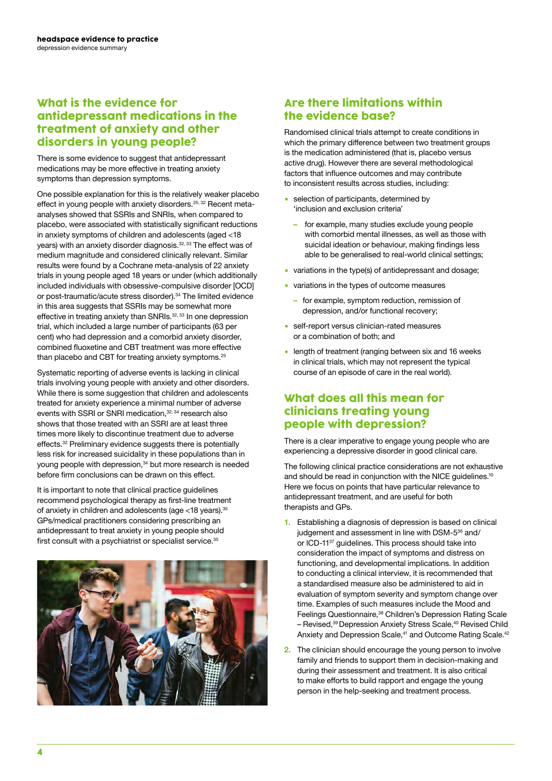# What is the evidence for antidepressant medications in the treatment of anxiety and other disorders in young people?

There is some evidence to suggest that antidepressant medications may be more effective in treating anxiety symptoms than depression symptoms.

One possible explanation for this is the relatively weaker placebo effect in young people with anxiety disorders.<sup>25, 32</sup> Recent metaanalyses showed that SSRIs and SNRIs, when compared to placebo, were associated with statistically significant reductions in anxiety symptoms of children and adolescents (aged <18 years) with an anxiety disorder diagnosis.32, 33 The effect was of medium magnitude and considered clinically relevant. Similar results were found by a Cochrane meta-analysis of 22 anxiety trials in young people aged 18 years or under (which additionally included individuals with obsessive-compulsive disorder [OCD] or post-traumatic/acute stress disorder).<sup>34</sup> The limited evidence in this area suggests that SSRIs may be somewhat more effective in treating anxiety than SNRIs.<sup>32, 33</sup> In one depression trial, which included a large number of participants (63 per cent) who had depression and a comorbid anxiety disorder, combined fluoxetine and CBT treatment was more effective than placebo and CBT for treating anxiety symptoms.<sup>25</sup>

Systematic reporting of adverse events is lacking in clinical trials involving young people with anxiety and other disorders. While there is some suggestion that children and adolescents treated for anxiety experience a minimal number of adverse events with SSRI or SNRI medication,<sup>32, 34</sup> research also shows that those treated with an SSRI are at least three times more likely to discontinue treatment due to adverse effects.<sup>32</sup> Preliminary evidence suggests there is potentially less risk for increased suicidality in these populations than in young people with depression,<sup>34</sup> but more research is needed before firm conclusions can be drawn on this effect.

It is important to note that clinical practice guidelines recommend psychological therapy as first-line treatment of anxiety in children and adolescents (age <18 years).<sup>35</sup> GPs/medical practitioners considering prescribing an antidepressant to treat anxiety in young people should first consult with a psychiatrist or specialist service.<sup>35</sup>



# Are there limitations within the evidence base?

Randomised clinical trials attempt to create conditions in which the primary difference between two treatment groups is the medication administered (that is, placebo versus active drug). However there are several methodological factors that influence outcomes and may contribute to inconsistent results across studies, including:

- selection of participants, determined by 'inclusion and exclusion criteria'
	- **–** for example, many studies exclude young people with comorbid mental illnesses, as well as those with suicidal ideation or behaviour, making findings less able to be generalised to real-world clinical settings;
- � variations in the type(s) of antidepressant and dosage;
- � variations in the types of outcome measures
	- **–** for example, symptom reduction, remission of depression, and/or functional recovery;
- � self-report versus clinician-rated measures or a combination of both; and
- length of treatment (ranging between six and 16 weeks) in clinical trials, which may not represent the typical course of an episode of care in the real world).

# What does all this mean for clinicians treating young people with depression?

There is a clear imperative to engage young people who are experiencing a depressive disorder in good clinical care.

The following clinical practice considerations are not exhaustive and should be read in conjunction with the NICE quidelines.<sup>10</sup> Here we focus on points that have particular relevance to antidepressant treatment, and are useful for both therapists and GPs.

- **1.** Establishing a diagnosis of depression is based on clinical judgement and assessment in line with DSM-5<sup>36</sup> and/ or ICD-11<sup>37</sup> guidelines. This process should take into consideration the impact of symptoms and distress on functioning, and developmental implications. In addition to conducting a clinical interview, it is recommended that a standardised measure also be administered to aid in evaluation of symptom severity and symptom change over time. Examples of such measures include the Mood and Feelings Questionnaire,<sup>38</sup> Children's Depression Rating Scale - Revised,<sup>39</sup> Depression Anxiety Stress Scale,<sup>40</sup> Revised Child Anxiety and Depression Scale,<sup>41</sup> and Outcome Rating Scale.<sup>42</sup>
- **2.** The clinician should encourage the young person to involve family and friends to support them in decision-making and during their assessment and treatment. It is also critical to make efforts to build rapport and engage the young person in the help-seeking and treatment process.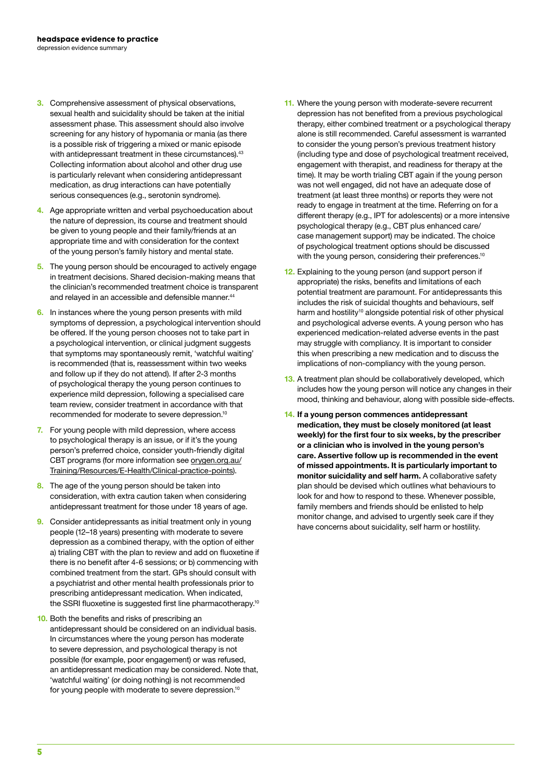- **3.** Comprehensive assessment of physical observations, sexual health and suicidality should be taken at the initial assessment phase. This assessment should also involve screening for any history of hypomania or mania (as there is a possible risk of triggering a mixed or manic episode with antidepressant treatment in these circumstances).<sup>43</sup> Collecting information about alcohol and other drug use is particularly relevant when considering antidepressant medication, as drug interactions can have potentially serious consequences (e.g., serotonin syndrome).
- **4.** Age appropriate written and verbal psychoeducation about the nature of depression, its course and treatment should be given to young people and their family/friends at an appropriate time and with consideration for the context of the young person's family history and mental state.
- **5.** The young person should be encouraged to actively engage in treatment decisions. Shared decision-making means that the clinician's recommended treatment choice is transparent and relayed in an accessible and defensible manner.<sup>44</sup>
- **6.** In instances where the young person presents with mild symptoms of depression, a psychological intervention should be offered. If the young person chooses not to take part in a psychological intervention, or clinical judgment suggests that symptoms may spontaneously remit, 'watchful waiting' is recommended (that is, reassessment within two weeks and follow up if they do not attend). If after 2-3 months of psychological therapy the young person continues to experience mild depression, following a specialised care team review, consider treatment in accordance with that recommended for moderate to severe depression.<sup>10</sup>
- **7.** For young people with mild depression, where access to psychological therapy is an issue, or if it's the young person's preferred choice, consider youth-friendly digital CBT programs (for more information see [orygen.org.au/](http://orygen.org.au/Training/Resources/E-Health/Clinical-practice-points) [Training/Resources/E-Health/Clinical-practice-points](http://orygen.org.au/Training/Resources/E-Health/Clinical-practice-points)).
- **8.** The age of the young person should be taken into consideration, with extra caution taken when considering antidepressant treatment for those under 18 years of age.
- **9.** Consider antidepressants as initial treatment only in young people (12–18 years) presenting with moderate to severe depression as a combined therapy, with the option of either a) trialing CBT with the plan to review and add on fluoxetine if there is no benefit after 4-6 sessions; or b) commencing with combined treatment from the start. GPs should consult with a psychiatrist and other mental health professionals prior to prescribing antidepressant medication. When indicated, the SSRI fluoxetine is suggested first line pharmacotherapy.<sup>10</sup>
- **10.** Both the benefits and risks of prescribing an antidepressant should be considered on an individual basis. In circumstances where the young person has moderate to severe depression, and psychological therapy is not possible (for example, poor engagement) or was refused, an antidepressant medication may be considered. Note that, 'watchful waiting' (or doing nothing) is not recommended for young people with moderate to severe depression.<sup>10</sup>
- **11.** Where the young person with moderate-severe recurrent depression has not benefited from a previous psychological therapy, either combined treatment or a psychological therapy alone is still recommended. Careful assessment is warranted to consider the young person's previous treatment history (including type and dose of psychological treatment received, engagement with therapist, and readiness for therapy at the time). It may be worth trialing CBT again if the young person was not well engaged, did not have an adequate dose of treatment (at least three months) or reports they were not ready to engage in treatment at the time. Referring on for a different therapy (e.g., IPT for adolescents) or a more intensive psychological therapy (e.g., CBT plus enhanced care/ case management support) may be indicated. The choice of psychological treatment options should be discussed with the young person, considering their preferences.<sup>10</sup>
- **12.** Explaining to the young person (and support person if appropriate) the risks, benefits and limitations of each potential treatment are paramount. For antidepressants this includes the risk of suicidal thoughts and behaviours, self harm and hostility<sup>10</sup> alongside potential risk of other physical and psychological adverse events. A young person who has experienced medication-related adverse events in the past may struggle with compliancy. It is important to consider this when prescribing a new medication and to discuss the implications of non-compliancy with the young person.
- **13.** A treatment plan should be collaboratively developed, which includes how the young person will notice any changes in their mood, thinking and behaviour, along with possible side-effects.
- **14. If a young person commences antidepressant medication, they must be closely monitored (at least weekly) for the first four to six weeks, by the prescriber or a clinician who is involved in the young person's care. Assertive follow up is recommended in the event of missed appointments. It is particularly important to monitor suicidality and self harm.** A collaborative safety plan should be devised which outlines what behaviours to look for and how to respond to these. Whenever possible, family members and friends should be enlisted to help monitor change, and advised to urgently seek care if they have concerns about suicidality, self harm or hostility.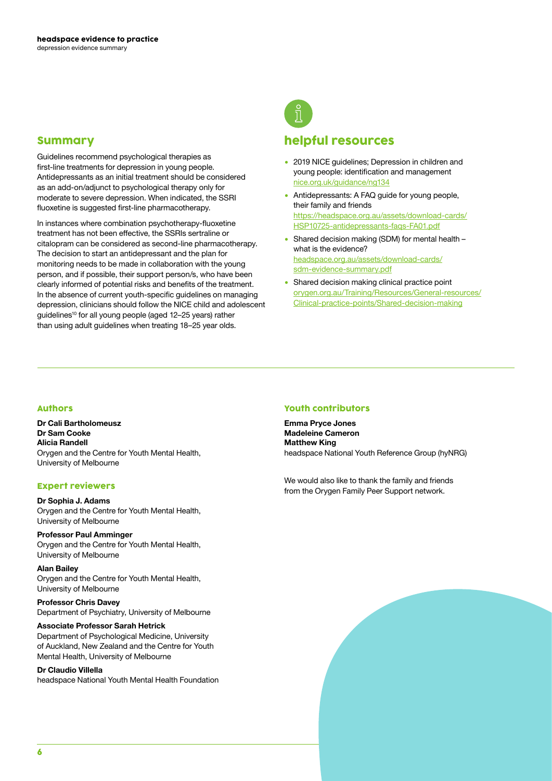### Summary

Guidelines recommend psychological therapies as first-line treatments for depression in young people. Antidepressants as an initial treatment should be considered as an add-on/adjunct to psychological therapy only for moderate to severe depression. When indicated, the SSRI fluoxetine is suggested first-line pharmacotherapy.

In instances where combination psychotherapy-fluoxetine treatment has not been effective, the SSRIs sertraline or citalopram can be considered as second-line pharmacotherapy. The decision to start an antidepressant and the plan for monitoring needs to be made in collaboration with the young person, and if possible, their support person/s, who have been clearly informed of potential risks and benefits of the treatment. In the absence of current youth-specific guidelines on managing depression, clinicians should follow the NICE child and adolescent guidelines10 for all young people (aged 12–25 years) rather than using adult guidelines when treating 18–25 year olds.



### helpful resources

- 2019 NICE guidelines; Depression in children and young people: identification and management [nice.org.uk/guidance/ng134](http://nice.org.uk/guidance/ng134)
- Antidepressants: A FAQ guide for young people, their family and friends [https://headspace.org.au/assets/download-cards/](https://headspace.org.au/assets/download-cards/HSP10725-antidepressants-faqs-FA01.pdf) [HSP10725-antidepressants-faqs-FA01.pdf](https://headspace.org.au/assets/download-cards/HSP10725-antidepressants-faqs-FA01.pdf)
- � Shared decision making (SDM) for mental health what is the evidence? [headspace.org.au/assets/download-cards/](http://headspace.org.au/assets/download-cards/sdm-evidence-summary.pdf) [sdm-evidence-summary.pdf](http://headspace.org.au/assets/download-cards/sdm-evidence-summary.pdf)
- Shared decision making clinical practice point [orygen.org.au/Training/Resources/General-resources/](http://orygen.org.au/Training/Resources/General-resources/Clinical-practice-points/Shared-decision-making) [Clinical-practice-points/Shared-decision-making](http://orygen.org.au/Training/Resources/General-resources/Clinical-practice-points/Shared-decision-making)

### Authors

**Dr Cali Bartholomeusz Dr Sam Cooke Alicia Randell**  Orygen and the Centre for Youth Mental Health, University of Melbourne

### Expert reviewers

#### **Dr Sophia J. Adams** Orygen and the Centre for Youth Mental Health, University of Melbourne

### **Professor Paul Amminger**

Orygen and the Centre for Youth Mental Health, University of Melbourne

### **Alan Bailey**

Orygen and the Centre for Youth Mental Health, University of Melbourne

### **Professor Chris Davey**

Department of Psychiatry, University of Melbourne

### **Associate Professor Sarah Hetrick**

Department of Psychological Medicine, University of Auckland, New Zealand and the Centre for Youth Mental Health, University of Melbourne

### **Dr Claudio Villella**

headspace National Youth Mental Health Foundation

### Youth contributors

**Emma Pryce Jones Madeleine Cameron Matthew King** headspace National Youth Reference Group (hyNRG)

We would also like to thank the family and friends from the Orygen Family Peer Support network.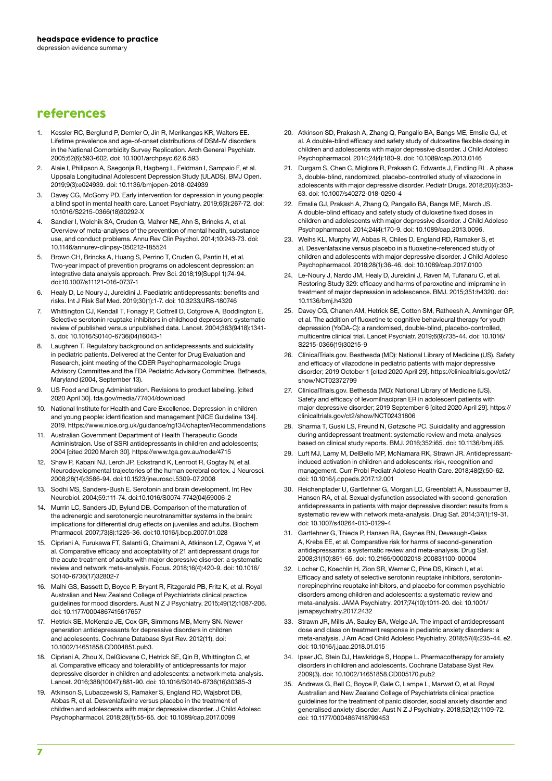# references

- 1. Kessler RC, Berglund P, Demler O, Jin R, Merikangas KR, Walters EE. Lifetime prevalence and age-of-onset distributions of DSM-IV disorders in the National Comorbidity Survey Replication. Arch General Psychiatr. 2005;62(6):593-602. doi: 10.1001/archpsyc.62.6.593
- 2. Alaie I, Philipson A, Ssegonja R, Hagberg L, Feldman I, Sampaio F, et al. Uppsala Longitudinal Adolescent Depression Study (ULADS). BMJ Open. 2019;9(3):e024939. doi: 10.1136/bmjopen-2018-024939
- Davey CG, McGorry PD. Early intervention for depression in young people: a blind spot in mental health care. Lancet Psychiatry. 2019;6(3):267-72. doi: 10.1016/S2215-0366(18)30292-X
- Sandler I, Wolchik SA, Cruden G, Mahrer NE, Ahn S, Brincks A, et al. Overview of meta-analyses of the prevention of mental health, substance use, and conduct problems. Annu Rev Clin Psychol. 2014;10:243-73. doi: 10.1146/annurev-clinpsy-050212-185524
- 5. Brown CH, Brincks A, Huang S, Perrino T, Cruden G, Pantin H, et al. Two-year impact of prevention programs on adolescent depression: an integrative data analysis approach. Prev Sci. 2018;19(Suppl 1):74-94. doi:10.1007/s11121-016-0737-1
- 6. Healy D, Le Noury J, Jureidini J. Paediatric antidepressants: benefits and risks. Int J Risk Saf Med. 2019;30(1):1-7. doi: 10.3233/JRS-180746
- 7. Whittington CJ, Kendall T, Fonagy P, Cottrell D, Cotgrove A, Boddington E. Selective serotonin reuptake inhibitors in childhood depression: systematic review of published versus unpublished data. Lancet. 2004;363(9418):1341- 5. doi: 10.1016/S0140-6736(04)16043-1
- Laughren T. Regulatory background on antidepressants and suicidality in pediatric patients. Delivered at the Center for Drug Evaluation and Research, joint meeting of the CDER Psychopharmacologic Drugs Advisory Committee and the FDA Pediatric Advisory Committee. Bethesda, Maryland (2004, September 13).
- US Food and Drug Administration. Revisions to product labeling. [cited 2020 April 30]. fda.gov/media/77404/download
- 10. National Institute for Health and Care Excellence. Depression in children and young people: identification and management [NICE Guideline 134]. 2019. https://www.nice.org.uk/guidance/ng134/chapter/Recommendations
- 11. Australian Government Department of Health Therapeutic Goods Administraion. Use of SSRI antidepressants in children and adolescents; 2004 [cited 2020 March 30]. https://www.tga.gov.au/node/4715
- 12. Shaw P, Kabani NJ, Lerch JP, Eckstrand K, Lenroot R, Gogtay N, et al. Neurodevelopmental trajectories of the human cerebral cortex. J Neurosci. 2008;28(14):3586-94. doi:10.1523/jneurosci.5309-07.2008
- 13. Sodhi MS, Sanders-Bush E. Serotonin and brain development. Int Rev Neurobiol. 2004;59:111-74. doi:10.1016/S0074-7742(04)59006-2
- 14. Murrin LC, Sanders JD, Bylund DB. Comparison of the maturation of the adrenergic and serotonergic neurotransmitter systems in the brain: implications for differential drug effects on juveniles and adults. Biochem Pharmacol. 2007;73(8):1225-36. doi:10.1016/j.bcp.2007.01.028
- 15. Cipriani A, Furukawa FT, Salanti G, Chaimani A, Atkinson LZ, Ogawa Y, et al. Comparative efficacy and acceptability of 21 antidepressant drugs for the acute treatment of adults with major depressive disorder: a systematic review and network meta-analysis. Focus. 2018;16(4):420-9. doi: 10.1016/ S0140-6736(17)32802-7
- 16. Malhi GS, Bassett D, Boyce P, Bryant R, Fitzgerald PB, Fritz K, et al. Royal Australian and New Zealand College of Psychiatrists clinical practice guidelines for mood disorders. Aust N Z J Psychiatry. 2015;49(12):1087-206. doi: 10.1177/0004867415617657
- 17. Hetrick SE, McKenzie JE, Cox GR, Simmons MB, Merry SN. Newer generation antidepressants for depressive disorders in children and adolescents. Cochrane Database Syst Rev. 2012(11). doi: 10.1002/14651858.CD004851.pub3.
- 18. Cipriani A, Zhou X, DelGiovane C, Hetrick SE, Qin B, Whittington C, et al. Comparative efficacy and tolerability of antidepressants for major depressive disorder in children and adolescents: a network meta-analysis. Lancet. 2016;388(10047):881-90. doi: 10.1016/S0140-6736(16)30385-3
- 19. Atkinson S, Lubaczewski S, Ramaker S, England RD, Wajsbrot DB, Abbas R, et al. Desvenlafaxine versus placebo in the treatment of children and adolescents with major depressive disorder. J Child Adolesc Psychopharmacol. 2018;28(1):55-65. doi: 10.1089/cap.2017.0099
- 20. Atkinson SD, Prakash A, Zhang Q, Pangallo BA, Bangs ME, Emslie GJ, et al. A double-blind efficacy and safety study of duloxetine flexible dosing in children and adolescents with major depressive disorder. J Child Adolesc Psychopharmacol. 2014;24(4):180-9. doi: 10.1089/cap.2013.0146
- 21. Durgam S, Chen C, Migliore R, Prakash C, Edwards J, Findling RL. A phase 3, double-blind, randomized, placebo-controlled study of vilazodone in adolescents with major depressive disorder. Pediatr Drugs. 2018;20(4):353- 63. doi: 10.1007/s40272-018-0290-4
- 22. Emslie GJ, Prakash A, Zhang Q, Pangallo BA, Bangs ME, March JS. A double-blind efficacy and safety study of duloxetine fixed doses in children and adolescents with major depressive disorder. J Child Adolesc Psychopharmacol. 2014;24(4):170-9. doi: 10.1089/cap.2013.0096.
- 23. Weihs KL, Murphy W, Abbas R, Chiles D, England RD, Ramaker S, et al. Desvenlafaxine versus placebo in a fluoxetine-referenced study of children and adolescents with major depressive disorder. J Child Adolesc Psychopharmacol. 2018;28(1):36-46. doi: 10.1089/cap.2017.0100
- 24. Le-Noury J, Nardo JM, Healy D, Jureidini J, Raven M, Tufanaru C, et al. Restoring Study 329: efficacy and harms of paroxetine and imipramine in treatment of major depression in adolescence. BMJ. 2015;351:h4320. doi: 10.1136/bmj.h4320
- 25. Davey CG, Chanen AM, Hetrick SE, Cotton SM, Ratheesh A, Amminger GP, et al. The addition of fluoxetine to cognitive behavioural therapy for youth depression (YoDA-C): a randomised, double-blind, placebo-controlled, multicentre clinical trial. Lancet Psychiatr. 2019;6(9):735-44. doi: 10.1016/ S2215-0366(19)30215-9
- 26. ClinicalTrials.gov. Besthesda (MD): National Library of Medicine (US). Safety and efficacy of vilazodone in pediatric patients with major depressive disorder; 2019 October 1 [cited 2020 April 29]. https://clinicaltrials.gov/ct2/ show/NCT02372799
- 27. ClinicalTrials.gov. Bethesda (MD): National Library of Medicine (US). Safety and efficacy of levomilnacipran ER in adolescent patients with major depressive disorder; 2019 September 6 [cited 2020 April 29]. https:// clinicaltrials.gov/ct2/show/NCT02431806
- 28. Sharma T, Guski LS, Freund N, Gøtzsche PC. Suicidality and aggression during antidepressant treatment: systematic review and meta-analyses based on clinical study reports. BMJ. 2016;352:i65. doi: 10.1136/bmj.i65.
- 29. Luft MJ, Lamy M, DelBello MP, McNamara RK, Strawn JR. Antidepressantinduced activation in children and adolescents: risk, recognition and management. Curr Probl Pediatr Adolesc Health Care. 2018;48(2):50-62. doi: 10.1016/j.cppeds.2017.12.001
- 30. Reichenpfader U, Gartlehner G, Morgan LC, Greenblatt A, Nussbaumer B, Hansen RA, et al. Sexual dysfunction associated with second-generation antidepressants in patients with major depressive disorder: results from a systematic review with network meta-analysis. Drug Saf. 2014;37(1):19-31. doi: 10.1007/s40264-013-0129-4
- 31. Gartlehner G, Thieda P, Hansen RA, Gaynes BN, Deveaugh-Geiss A, Krebs EE, et al. Comparative risk for harms of second-generation antidepressants: a systematic review and meta-analysis. Drug Saf. 2008;31(10):851-65. doi: 10.2165/00002018-200831100-00004
- 32. Locher C, Koechlin H, Zion SR, Werner C, Pine DS, Kirsch I, et al. Efficacy and safety of selective serotonin reuptake inhibitors, serotoninnorepinephrine reuptake inhibitors, and placebo for common psychiatric disorders among children and adolescents: a systematic review and meta-analysis. JAMA Psychiatry. 2017;74(10):1011-20. doi: 10.1001/ jamapsychiatry.2017.2432
- 33. Strawn JR, Mills JA, Sauley BA, Welge JA. The impact of antidepressant dose and class on treatment response in pediatric anxiety disorders: a meta-analysis. J Am Acad Child Adolesc Psychiatry. 2018;57(4):235-44. e2. doi: 10.1016/j.jaac.2018.01.015
- 34. Ipser JC, Stein DJ, Hawkridge S, Hoppe L. Pharmacotherapy for anxiety disorders in children and adolescents. Cochrane Database Syst Rev. 2009(3). doi: 10.1002/14651858.CD005170.pub2
- 35. Andrews G, Bell C, Boyce P, Gale C, Lampe L, Marwat O, et al. Royal Australian and New Zealand College of Psychiatrists clinical practice guidelines for the treatment of panic disorder, social anxiety disorder and generalised anxiety disorder. Aust N Z J Psychiatry. 2018;52(12):1109-72. doi: 10.1177/0004867418799453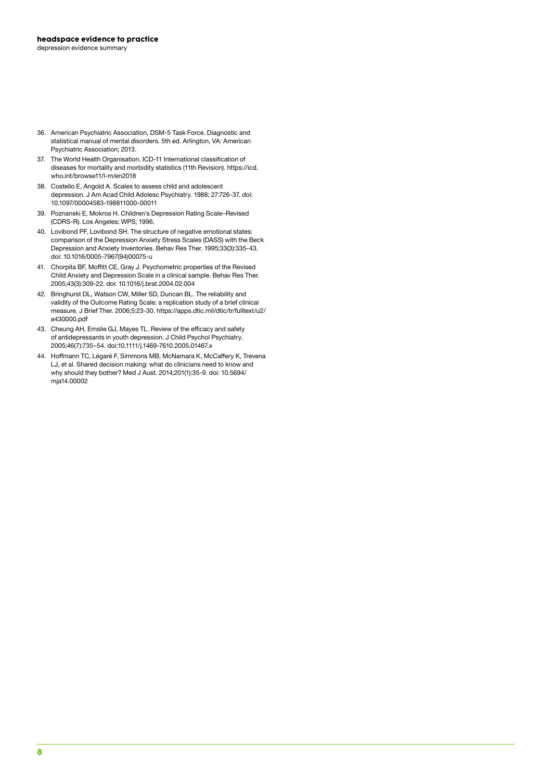- 36. American Psychiatric Association, DSM-5 Task Force. Diagnostic and statistical manual of mental disorders. 5th ed. Arlington, VA: American Psychiatric Association; 2013.
- 37. The World Health Organisation. ICD-11 International classification of diseases for mortality and morbidity statistics (11th Revision). https://icd. who.int/browse11/l-m/en2018
- 38. Costello E, Angold A. Scales to assess child and adolescent depression. J Am Acad Child Adolesc Psychiatry. 1988; 27:726-37. doi: 10.1097/00004583-198811000-00011
- 39. Poznanski E, Mokros H. Children's Depression Rating Scale–Revised (CDRS-R). Los Angeles: WPS; 1996.
- 40. Lovibond PF, Lovibond SH. The structure of negative emotional states: comparison of the Depression Anxiety Stress Scales (DASS) with the Beck Depression and Anxiety Inventories. Behav Res Ther. 1995;33(3):335-43. doi: 10.1016/0005-7967(94)00075-u
- 41. Chorpita BF, Moffitt CE, Gray J. Psychometric properties of the Revised Child Anxiety and Depression Scale in a clinical sample. Behav Res Ther. 2005;43(3):309-22. doi: 10.1016/j.brat.2004.02.004
- 42. Bringhurst DL, Watson CW, Miller SD, Duncan BL. The reliability and validity of the Outcome Rating Scale: a replication study of a brief clinical measure. J Brief Ther. 2006;5:23-30. https://apps.dtic.mil/dtic/tr/fulltext/u2/ a430000.pdf
- 43. Cheung AH, Emslie GJ, Mayes TL. Review of the efficacy and safety of antidepressants in youth depression. J Child Psychol Psychiatry. 2005;46(7):735–54. doi:10.1111/j.1469-7610.2005.01467.x
- 44. Hoffmann TC, Légaré F, Simmons MB, McNamara K, McCaffery K, Trevena LJ, et al. Shared decision making: what do clinicians need to know and why should they bother? Med J Aust. 2014;201(1):35-9. doi: 10.5694/ mja14.00002